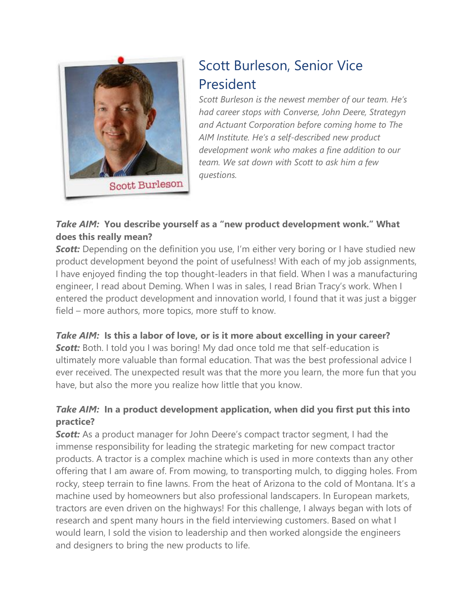

# Scott Burleson, Senior Vice President

*Scott Burleson is the newest member of our team. He's had career stops with Converse, John Deere, Strategyn and Actuant Corporation before coming home to The AIM Institute. He's a self-described new product development wonk who makes a fine addition to our team. We sat down with Scott to ask him a few questions.*

## *Take AIM:* **You describe yourself as a "new product development wonk." What does this really mean?**

**Scott:** Depending on the definition you use, I'm either very boring or I have studied new product development beyond the point of usefulness! With each of my job assignments, I have enjoyed finding the top thought-leaders in that field. When I was a manufacturing engineer, I read about Deming. When I was in sales, I read Brian Tracy's work. When I entered the product development and innovation world, I found that it was just a bigger field – more authors, more topics, more stuff to know.

## *Take AIM:* **Is this a labor of love, or is it more about excelling in your career?**

**Scott:** Both. I told you I was boring! My dad once told me that self-education is ultimately more valuable than formal education. That was the best professional advice I ever received. The unexpected result was that the more you learn, the more fun that you have, but also the more you realize how little that you know.

## *Take AIM:* **In a product development application, when did you first put this into practice?**

**Scott:** As a product manager for John Deere's compact tractor segment, I had the immense responsibility for leading the strategic marketing for new compact tractor products. A tractor is a complex machine which is used in more contexts than any other offering that I am aware of. From mowing, to transporting mulch, to digging holes. From rocky, steep terrain to fine lawns. From the heat of Arizona to the cold of Montana. It's a machine used by homeowners but also professional landscapers. In European markets, tractors are even driven on the highways! For this challenge, I always began with lots of research and spent many hours in the field interviewing customers. Based on what I would learn, I sold the vision to leadership and then worked alongside the engineers and designers to bring the new products to life.